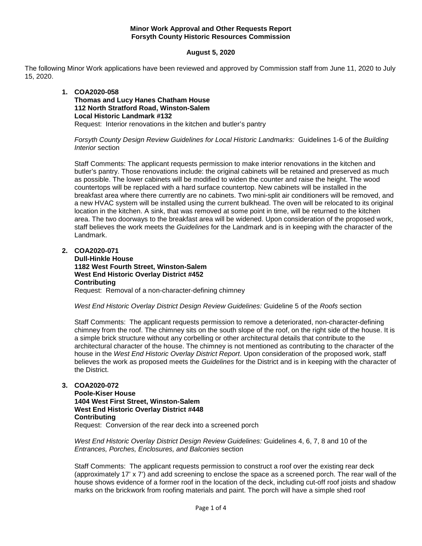## **Minor Work Approval and Other Requests Report Forsyth County Historic Resources Commission**

## **August 5, 2020**

The following Minor Work applications have been reviewed and approved by Commission staff from June 11, 2020 to July 15, 2020.

#### **1. COA2020-058**

**Thomas and Lucy Hanes Chatham House 112 North Stratford Road, Winston-Salem Local Historic Landmark #132** Request: Interior renovations in the kitchen and butler's pantry

*Forsyth County Design Review Guidelines for Local Historic Landmarks:* Guidelines 1-6 of the *Building Interior* section

Staff Comments: The applicant requests permission to make interior renovations in the kitchen and butler's pantry. Those renovations include: the original cabinets will be retained and preserved as much as possible. The lower cabinets will be modified to widen the counter and raise the height. The wood countertops will be replaced with a hard surface countertop. New cabinets will be installed in the breakfast area where there currently are no cabinets. Two mini-split air conditioners will be removed, and a new HVAC system will be installed using the current bulkhead. The oven will be relocated to its original location in the kitchen. A sink, that was removed at some point in time, will be returned to the kitchen area. The two doorways to the breakfast area will be widened. Upon consideration of the proposed work, staff believes the work meets the *Guidelines* for the Landmark and is in keeping with the character of the Landmark.

**2. COA2020-071**

**Dull-Hinkle House 1182 West Fourth Street, Winston-Salem West End Historic Overlay District #452 Contributing** Request: Removal of a non-character-defining chimney

*West End Historic Overlay District Design Review Guidelines:* Guideline 5 of the *Roofs* section

Staff Comments: The applicant requests permission to remove a deteriorated, non-character-defining chimney from the roof. The chimney sits on the south slope of the roof, on the right side of the house. It is a simple brick structure without any corbelling or other architectural details that contribute to the architectural character of the house. The chimney is not mentioned as contributing to the character of the house in the *West End Historic Overlay District Report*. Upon consideration of the proposed work, staff believes the work as proposed meets the *Guidelines* for the District and is in keeping with the character of the District.

## **3. COA2020-072**

**Poole-Kiser House 1404 West First Street, Winston-Salem West End Historic Overlay District #448 Contributing** Request: Conversion of the rear deck into a screened porch

*West End Historic Overlay District Design Review Guidelines:* Guidelines 4, 6, 7, 8 and 10 of the *Entrances, Porches, Enclosures, and Balconies* section

Staff Comments: The applicant requests permission to construct a roof over the existing rear deck (approximately 17' x 7') and add screening to enclose the space as a screened porch. The rear wall of the house shows evidence of a former roof in the location of the deck, including cut-off roof joists and shadow marks on the brickwork from roofing materials and paint. The porch will have a simple shed roof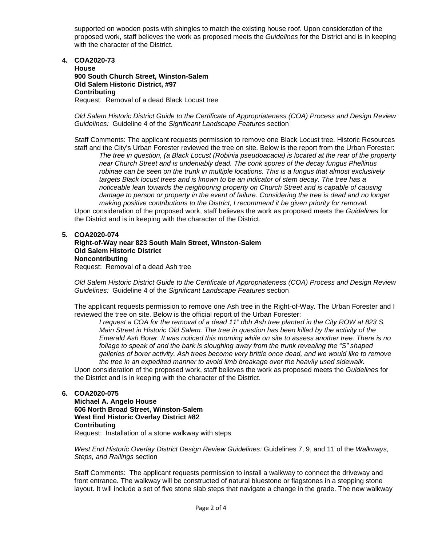supported on wooden posts with shingles to match the existing house roof. Upon consideration of the proposed work, staff believes the work as proposed meets the *Guidelines* for the District and is in keeping with the character of the District.

**4. COA2020-73**

**House 900 South Church Street, Winston-Salem Old Salem Historic District, #97 Contributing** Request: Removal of a dead Black Locust tree

*Old Salem Historic District Guide to the Certificate of Appropriateness (COA) Process and Design Review Guidelines:* Guideline 4 of the *Significant Landscape Features* section

Staff Comments: The applicant requests permission to remove one Black Locust tree. Historic Resources staff and the City's Urban Forester reviewed the tree on site. Below is the report from the Urban Forester:

*The tree in question, (a Black Locust (Robinia pseudoacacia) is located at the rear of the property near Church Street and is undeniably dead. The conk spores of the decay fungus Phellinus robinae can be seen on the trunk in multiple locations. This is a fungus that almost exclusively targets Black locust trees and is known to be an indicator of stem decay. The tree has a noticeable lean towards the neighboring property on Church Street and is capable of causing damage to person or property in the event of failure. Considering the tree is dead and no longer making positive contributions to the District, I recommend it be given priority for removal.*

Upon consideration of the proposed work, staff believes the work as proposed meets the *Guidelines* for the District and is in keeping with the character of the District.

#### **5. COA2020-074**

#### **Right-of-Way near 823 South Main Street, Winston-Salem Old Salem Historic District Noncontributing** Request: Removal of a dead Ash tree

*Old Salem Historic District Guide to the Certificate of Appropriateness (COA) Process and Design Review Guidelines:* Guideline 4 of the *Significant Landscape Features* section

The applicant requests permission to remove one Ash tree in the Right-of-Way. The Urban Forester and I reviewed the tree on site. Below is the official report of the Urban Forester:

*I request a COA for the removal of a dead 11" dbh Ash tree planted in the City ROW at 823 S. Main Street in Historic Old Salem. The tree in question has been killed by the activity of the Emerald Ash Borer. It was noticed this morning while on site to assess another tree. There is no foliage to speak of and the bark is sloughing away from the trunk revealing the "S" shaped galleries of borer activity. Ash trees become very brittle once dead, and we would like to remove the tree in an expedited manner to avoid limb breakage over the heavily used sidewalk.*

Upon consideration of the proposed work, staff believes the work as proposed meets the *Guidelines* for the District and is in keeping with the character of the District.

#### **6. COA2020-075**

**Michael A. Angelo House 606 North Broad Street, Winston-Salem West End Historic Overlay District #82 Contributing** Request: Installation of a stone walkway with steps

*West End Historic Overlay District Design Review Guidelines:* Guidelines 7, 9, and 11 of the *Walkways, Steps, and Railings* section

Staff Comments: The applicant requests permission to install a walkway to connect the driveway and front entrance. The walkway will be constructed of natural bluestone or flagstones in a stepping stone layout. It will include a set of five stone slab steps that navigate a change in the grade. The new walkway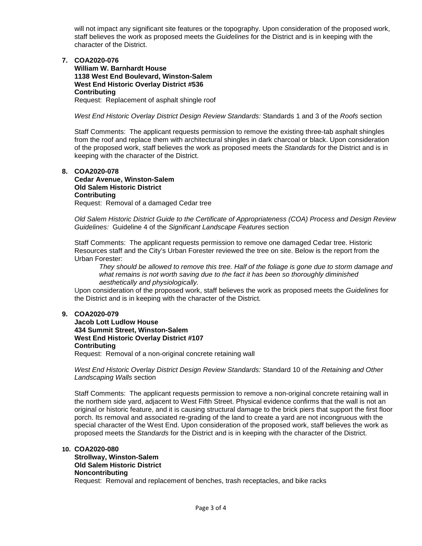will not impact any significant site features or the topography. Upon consideration of the proposed work, staff believes the work as proposed meets the *Guidelines* for the District and is in keeping with the character of the District.

## **7. COA2020-076**

**William W. Barnhardt House 1138 West End Boulevard, Winston-Salem West End Historic Overlay District #536 Contributing** Request: Replacement of asphalt shingle roof

*West End Historic Overlay District Design Review Standards:* Standards 1 and 3 of the *Roofs* section

Staff Comments: The applicant requests permission to remove the existing three-tab asphalt shingles from the roof and replace them with architectural shingles in dark charcoal or black. Upon consideration of the proposed work, staff believes the work as proposed meets the *Standards* for the District and is in keeping with the character of the District.

#### **8. COA2020-078**

**Cedar Avenue, Winston-Salem Old Salem Historic District Contributing** Request: Removal of a damaged Cedar tree

*Old Salem Historic District Guide to the Certificate of Appropriateness (COA) Process and Design Review Guidelines:* Guideline 4 of the *Significant Landscape Features* section

Staff Comments: The applicant requests permission to remove one damaged Cedar tree. Historic Resources staff and the City's Urban Forester reviewed the tree on site. Below is the report from the Urban Forester:

*They should be allowed to remove this tree. Half of the foliage is gone due to storm damage and what remains is not worth saving due to the fact it has been so thoroughly diminished aesthetically and physiologically.* 

Upon consideration of the proposed work, staff believes the work as proposed meets the *Guidelines* for the District and is in keeping with the character of the District.

## **9. COA2020-079**

**Jacob Lott Ludlow House 434 Summit Street, Winston-Salem West End Historic Overlay District #107 Contributing**

Request: Removal of a non-original concrete retaining wall

*West End Historic Overlay District Design Review Standards:* Standard 10 of the *Retaining and Other Landscaping Walls* section

Staff Comments: The applicant requests permission to remove a non-original concrete retaining wall in the northern side yard, adjacent to West Fifth Street. Physical evidence confirms that the wall is not an original or historic feature, and it is causing structural damage to the brick piers that support the first floor porch. Its removal and associated re-grading of the land to create a yard are not incongruous with the special character of the West End. Upon consideration of the proposed work, staff believes the work as proposed meets the *Standards* for the District and is in keeping with the character of the District.

#### **10. COA2020-080**

# **Strollway, Winston-Salem Old Salem Historic District Noncontributing**

Request: Removal and replacement of benches, trash receptacles, and bike racks